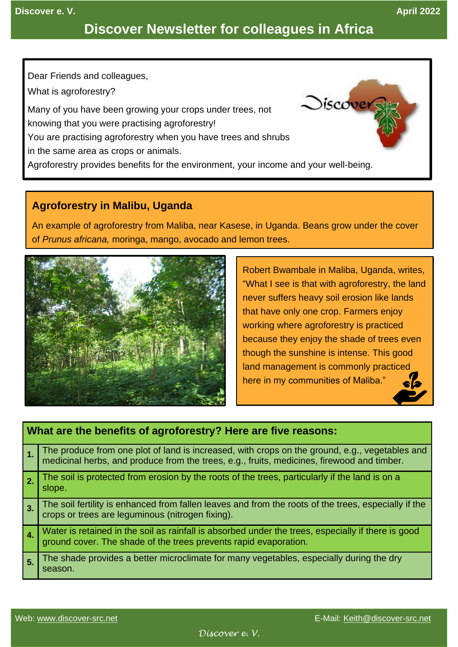# **Discover Newsletter for colleagues in Africa**

Dear Friends and colleagues,

What is agroforestry?

Many of you have been growing your crops under trees, not

knowing that you were practising agroforestry!

You are practising agroforestry when you have trees and shrubs

in the same area as crops or animals.

Agroforestry provides benefits for the environment, your income and your well-being.

# **Agroforestry in Malibu, Uganda**

An example of agroforestry from Maliba, near Kasese, in Uganda. Beans grow under the cover of *Prunus africana,* moringa, mango, avocado and lemon trees.



Robert Bwambale in Maliba, Uganda, writes, "What I see is that with agroforestry, the land never suffers heavy soil erosion like lands that have only one crop. Farmers enjoy working where agroforestry is practiced because they enjoy the shade of trees even though the sunshine is intense. This good land management is commonly practiced here in my communities of Maliba."

 $Discover$ 

## **What are the benefits of agroforestry? Here are five reasons: 1.** The produce from one plot of land is increased, with crops on the ground, e.g., vegetables and medicinal herbs, and produce from the trees, e.g., fruits, medicines, firewood and timber. **2.** The soil is protected from erosion by the roots of the trees, particularly if the land is on a slope. **3.** The soil fertility is enhanced from fallen leaves and from the roots of the trees, especially if the crops or trees are leguminous (nitrogen fixing). **4.** Water is retained in the soil as rainfall is absorbed under the trees, especially if there is good ground cover. The shade of the trees prevents rapid evaporation. **5.** The shade provides a better microclimate for many vegetables, especially during the dry season.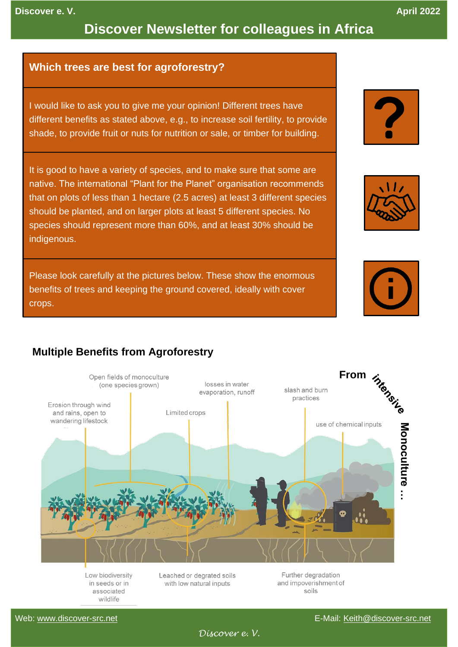#### **Discover e. V. April 2022**

# **Discover Newsletter for colleagues in Africa**

#### **Which trees are best for agroforestry?**

I would like to ask you to give me your opinion! Different trees have different benefits as stated above, e.g., to increase soil fertility, to provide shade, to provide fruit or nuts for nutrition or sale, or timber for building.

It is good to have a variety of species, and to make sure that some are native. The international "Plant for the Planet" organisation recommends that on plots of less than 1 hectare (2.5 acres) at least 3 different species should be planted, and on larger plots at least 5 different species. No species should represent more than 60%, and at least 30% should be indigenous.

Please look carefully at the pictures below. These show the enormous benefits of trees and keeping the ground covered, ideally with cover crops.







### **Multiple Benefits from Agroforestry**



Low biodiversity in seeds or in associated wildlife

Leached or degrated soils with low natural inputs

and impoverishment of soils

*Discover e. V.*